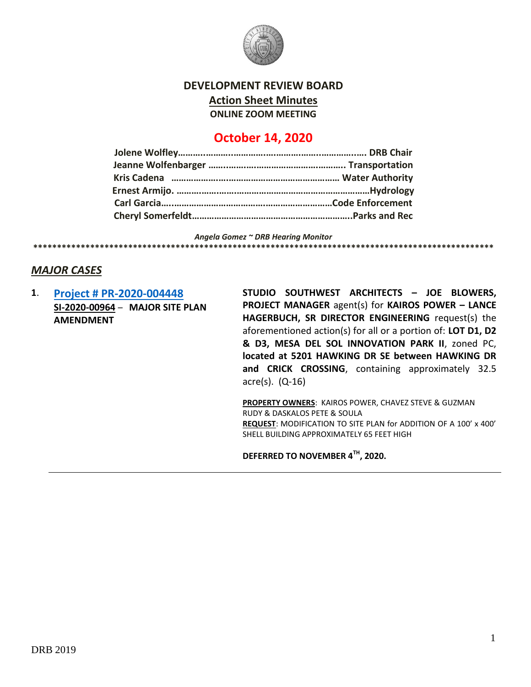

### **DEVELOPMENT REVIEW BOARD**

**Action Sheet Minutes**

**ONLINE ZOOM MEETING**

# **October 14, 2020**

*Angela Gomez ~ DRB Hearing Monitor*

# *MAJOR CASES*

**1**. **[Project # PR-2020-004448](http://data.cabq.gov/government/planning/DRB/PR-2020-004448/DRB%20Submittals/PR-2020-004448_Oct_14_2020/Application/) SI-2020-00964** – **MAJOR SITE PLAN AMENDMENT**

**STUDIO SOUTHWEST ARCHITECTS – JOE BLOWERS, PROJECT MANAGER** agent(s) for **KAIROS POWER – LANCE HAGERBUCH, SR DIRECTOR ENGINEERING** request(s) the aforementioned action(s) for all or a portion of: **LOT D1, D2 & D3, MESA DEL SOL INNOVATION PARK II**, zoned PC, **located at 5201 HAWKING DR SE between HAWKING DR and CRICK CROSSING**, containing approximately 32.5 acre(s). (Q-16)

**PROPERTY OWNERS**: KAIROS POWER, CHAVEZ STEVE & GUZMAN RUDY & DASKALOS PETE & SOULA **REQUEST**: MODIFICATION TO SITE PLAN for ADDITION OF A 100' x 400' SHELL BUILDING APPROXIMATELY 65 FEET HIGH

**DEFERRED TO NOVEMBER 4TH, 2020.**

**\*\*\*\*\*\*\*\*\*\*\*\*\*\*\*\*\*\*\*\*\*\*\*\*\*\*\*\*\*\*\*\*\*\*\*\*\*\*\*\*\*\*\*\*\*\*\*\*\*\*\*\*\*\*\*\*\*\*\*\*\*\*\*\*\*\*\*\*\*\*\*\*\*\*\*\*\*\*\*\*\*\*\*\*\*\*\*\*\*\*\*\*\*\*\*\*\***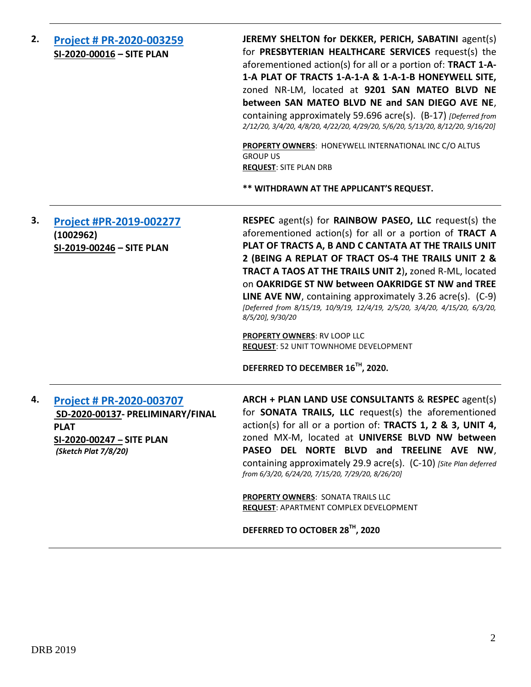| 2. | <b>Project # PR-2020-003259</b><br>SI-2020-00016 - SITE PLAN                                                                     | JEREMY SHELTON for DEKKER, PERICH, SABATINI agent(s)<br>for PRESBYTERIAN HEALTHCARE SERVICES request(s) the<br>aforementioned action(s) for all or a portion of: TRACT 1-A-<br>1-A PLAT OF TRACTS 1-A-1-A & 1-A-1-B HONEYWELL SITE,<br>zoned NR-LM, located at 9201 SAN MATEO BLVD NE<br>between SAN MATEO BLVD NE and SAN DIEGO AVE NE,<br>containing approximately 59.696 acre(s). (B-17) [Deferred from<br>2/12/20, 3/4/20, 4/8/20, 4/22/20, 4/29/20, 5/6/20, 5/13/20, 8/12/20, 9/16/20]<br>PROPERTY OWNERS: HONEYWELL INTERNATIONAL INC C/O ALTUS<br><b>GROUP US</b><br><b>REQUEST: SITE PLAN DRB</b><br>** WITHDRAWN AT THE APPLICANT'S REQUEST.          |
|----|----------------------------------------------------------------------------------------------------------------------------------|----------------------------------------------------------------------------------------------------------------------------------------------------------------------------------------------------------------------------------------------------------------------------------------------------------------------------------------------------------------------------------------------------------------------------------------------------------------------------------------------------------------------------------------------------------------------------------------------------------------------------------------------------------------|
| 3. | Project #PR-2019-002277<br>(1002962)<br>SI-2019-00246 - SITE PLAN                                                                | <b>RESPEC</b> agent(s) for <b>RAINBOW PASEO, LLC</b> request(s) the<br>aforementioned action(s) for all or a portion of TRACT A<br>PLAT OF TRACTS A, B AND C CANTATA AT THE TRAILS UNIT<br>2 (BEING A REPLAT OF TRACT OS-4 THE TRAILS UNIT 2 &<br>TRACT A TAOS AT THE TRAILS UNIT 2), zoned R-ML, located<br>on OAKRIDGE ST NW between OAKRIDGE ST NW and TREE<br><b>LINE AVE NW</b> , containing approximately 3.26 $\arccos 0$ . (C-9)<br>[Deferred from 8/15/19, 10/9/19, 12/4/19, 2/5/20, 3/4/20, 4/15/20, 6/3/20,<br>8/5/20], 9/30/20<br><b>PROPERTY OWNERS: RV LOOP LLC</b><br>REQUEST: 52 UNIT TOWNHOME DEVELOPMENT<br>DEFERRED TO DECEMBER 16TH, 2020. |
| 4. | Project # PR-2020-003707<br>SD-2020-00137- PRELIMINARY/FINAL<br><b>PLAT</b><br>SI-2020-00247 - SITE PLAN<br>(Sketch Plat 7/8/20) | ARCH + PLAN LAND USE CONSULTANTS & RESPEC agent(s)<br>for SONATA TRAILS, LLC request(s) the aforementioned<br>action(s) for all or a portion of: TRACTS 1, 2 & 3, UNIT 4,<br>zoned MX-M, located at UNIVERSE BLVD NW between<br>PASEO DEL NORTE BLVD and TREELINE AVE NW,<br>containing approximately 29.9 acre(s). (C-10) [Site Plan deferred<br>from 6/3/20, 6/24/20, 7/15/20, 7/29/20, 8/26/20]<br><b>PROPERTY OWNERS: SONATA TRAILS LLC</b><br>REQUEST: APARTMENT COMPLEX DEVELOPMENT<br>DEFERRED TO OCTOBER 28TH, 2020                                                                                                                                    |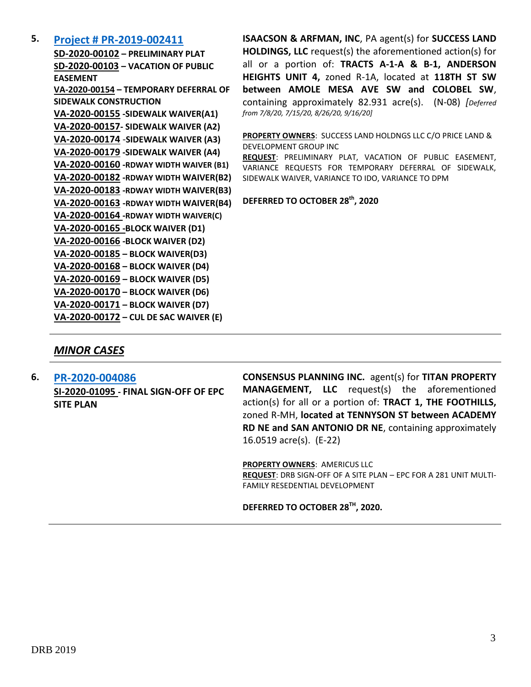### **5. [Project # PR-2019-002411](http://data.cabq.gov/government/planning/DRB/PR-2019-002411/DRB%20Submittals/PR-2019-002411_Sept_16_2020_Supplemental/Application/)**

**SD-2020-00102 – PRELIMINARY PLAT SD-2020-00103 – VACATION OF PUBLIC EASEMENT VA-2020-00154 – TEMPORARY DEFERRAL OF SIDEWALK CONSTRUCTION VA-2020-00155 -SIDEWALK WAIVER(A1) VA-2020-00157- SIDEWALK WAIVER (A2) VA-2020-00174** -**SIDEWALK WAIVER (A3) VA-2020-00179 -SIDEWALK WAIVER (A4) VA-2020-00160 -RDWAY WIDTH WAIVER (B1) VA-2020-00182 -RDWAY WIDTH WAIVER(B2) VA-2020-00183 -RDWAY WIDTH WAIVER(B3) VA-2020-00163 -RDWAY WIDTH WAIVER(B4) VA-2020-00164 -RDWAY WIDTH WAIVER(C) VA-2020-00165 -BLOCK WAIVER (D1) VA-2020-00166 -BLOCK WAIVER (D2) VA-2020-00185 – BLOCK WAIVER(D3) VA-2020-00168 – BLOCK WAIVER (D4) VA-2020-00169 – BLOCK WAIVER (D5) VA-2020-00170 – BLOCK WAIVER (D6) VA-2020-00171 – BLOCK WAIVER (D7) VA-2020-00172 – CUL DE SAC WAIVER (E)**

**ISAACSON & ARFMAN, INC**, PA agent(s) for **SUCCESS LAND HOLDINGS, LLC** request(s) the aforementioned action(s) for all or a portion of: **TRACTS A-1-A & B-1, ANDERSON HEIGHTS UNIT 4,** zoned R-1A, located at **118TH ST SW between AMOLE MESA AVE SW and COLOBEL SW**, containing approximately 82.931 acre(s). (N-08) *[Deferred from 7/8/20, 7/15/20, 8/26/20, 9/16/20]*

**PROPERTY OWNERS**: SUCCESS LAND HOLDNGS LLC C/O PRICE LAND & DEVELOPMENT GROUP INC

**REQUEST**: PRELIMINARY PLAT, VACATION OF PUBLIC EASEMENT, VARIANCE REQUESTS FOR TEMPORARY DEFERRAL OF SIDEWALK, SIDEWALK WAIVER, VARIANCE TO IDO, VARIANCE TO DPM

**DEFERRED TO OCTOBER 28th, 2020**

### *MINOR CASES*

**6. [PR-2020-004086](http://data.cabq.gov/government/planning/DRB/PR-2020-004086/DRB%20Submittals/PR-2020-004086_Oct_14_2020/Application/) SI-2020-01095 - FINAL SIGN-OFF OF EPC SITE PLAN**

**CONSENSUS PLANNING INC.** agent(s) for **TITAN PROPERTY MANAGEMENT, LLC** request(s) the aforementioned action(s) for all or a portion of: **TRACT 1, THE FOOTHILLS,**  zoned R-MH, **located at TENNYSON ST between ACADEMY RD NE and SAN ANTONIO DR NE**, containing approximately 16.0519 acre(s). (E-22)

**PROPERTY OWNERS**: AMERICUS LLC

**REQUEST**: DRB SIGN-OFF OF A SITE PLAN – EPC FOR A 281 UNIT MULTI-FAMILY RESEDENTIAL DEVELOPMENT

**DEFERRED TO OCTOBER 28TH, 2020.**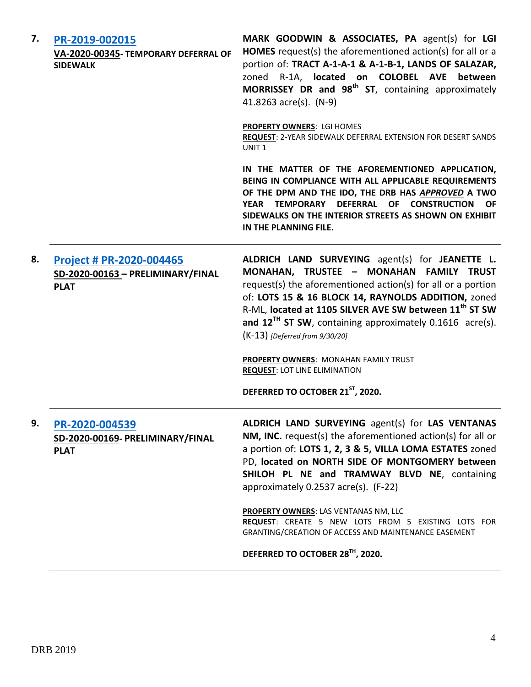| 7. | PR-2019-002015<br>VA-2020-00345- TEMPORARY DEFERRAL OF<br><b>SIDEWALK</b>    | MARK GOODWIN & ASSOCIATES, PA agent(s) for LGI<br>HOMES request(s) the aforementioned action(s) for all or a<br>portion of: TRACT A-1-A-1 & A-1-B-1, LANDS OF SALAZAR,<br>zoned R-1A, located on COLOBEL AVE between<br>MORRISSEY DR and 98 <sup>th</sup> ST, containing approximately<br>41.8263 acre(s). (N-9)                                                                                                                                                                                                                     |
|----|------------------------------------------------------------------------------|--------------------------------------------------------------------------------------------------------------------------------------------------------------------------------------------------------------------------------------------------------------------------------------------------------------------------------------------------------------------------------------------------------------------------------------------------------------------------------------------------------------------------------------|
|    |                                                                              | PROPERTY OWNERS: LGI HOMES<br>REQUEST: 2-YEAR SIDEWALK DEFERRAL EXTENSION FOR DESERT SANDS<br>UNIT <sub>1</sub>                                                                                                                                                                                                                                                                                                                                                                                                                      |
|    |                                                                              | IN THE MATTER OF THE AFOREMENTIONED APPLICATION,<br>BEING IN COMPLIANCE WITH ALL APPLICABLE REQUIREMENTS<br>OF THE DPM AND THE IDO, THE DRB HAS APPROVED A TWO<br>YEAR TEMPORARY DEFERRAL OF CONSTRUCTION<br><b>OF</b><br>SIDEWALKS ON THE INTERIOR STREETS AS SHOWN ON EXHIBIT<br>IN THE PLANNING FILE.                                                                                                                                                                                                                             |
| 8. | Project # PR-2020-004465<br>SD-2020-00163 - PRELIMINARY/FINAL<br><b>PLAT</b> | ALDRICH LAND SURVEYING agent(s) for JEANETTE L.<br>MONAHAN, TRUSTEE - MONAHAN FAMILY TRUST<br>request(s) the aforementioned action(s) for all or a portion<br>of: LOTS 15 & 16 BLOCK 14, RAYNOLDS ADDITION, zoned<br>R-ML, located at 1105 SILVER AVE SW between 11 <sup>th</sup> ST SW<br>and $12^{TH}$ ST SW, containing approximately 0.1616 acre(s).<br>$(K-13)$ [Deferred from 9/30/20]<br><b>PROPERTY OWNERS: MONAHAN FAMILY TRUST</b><br><b>REQUEST: LOT LINE ELIMINATION</b><br>DEFERRED TO OCTOBER 21 <sup>ST</sup> , 2020. |
| 9. | PR-2020-004539<br>SD-2020-00169- PRELIMINARY/FINAL<br><b>PLAT</b>            | ALDRICH LAND SURVEYING agent(s) for LAS VENTANAS<br>NM, INC. request(s) the aforementioned action(s) for all or<br>a portion of: LOTS 1, 2, 3 & 5, VILLA LOMA ESTATES zoned<br>PD, located on NORTH SIDE OF MONTGOMERY between<br>SHILOH PL NE and TRAMWAY BLVD NE, containing<br>approximately 0.2537 acre(s). (F-22)                                                                                                                                                                                                               |
|    |                                                                              | <b>PROPERTY OWNERS: LAS VENTANAS NM, LLC</b><br>REQUEST: CREATE 5 NEW LOTS FROM 5 EXISTING LOTS FOR<br>GRANTING/CREATION OF ACCESS AND MAINTENANCE EASEMENT                                                                                                                                                                                                                                                                                                                                                                          |
|    |                                                                              | DEFERRED TO OCTOBER 28TH, 2020.                                                                                                                                                                                                                                                                                                                                                                                                                                                                                                      |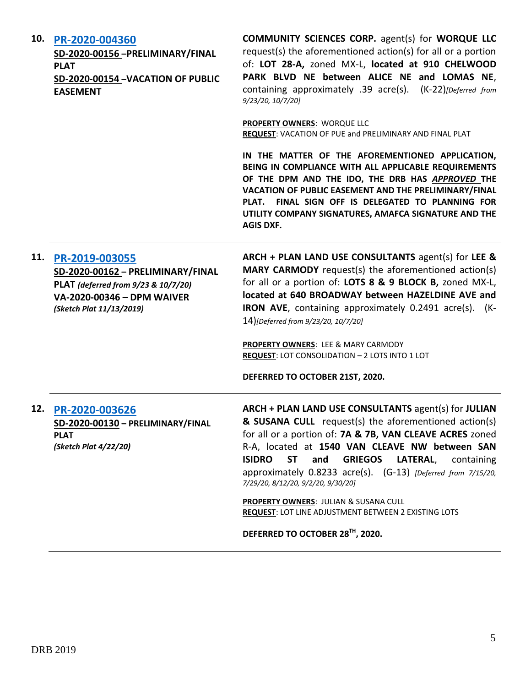#### **10. [PR-2020-004360](http://data.cabq.gov/government/planning/DRB/PR-2020-004360/DRB%20Submittals/)**

**SD-2020-00156 –PRELIMINARY/FINAL PLAT SD-2020-00154 –VACATION OF PUBLIC EASEMENT**

**COMMUNITY SCIENCES CORP.** agent(s) for **WORQUE LLC** request(s) the aforementioned action(s) for all or a portion of: **LOT 28-A,** zoned MX-L, **located at 910 CHELWOOD PARK BLVD NE between ALICE NE and LOMAS NE**, containing approximately .39 acre(s). (K-22)*[Deferred from 9/23/20, 10/7/20]*

**PROPERTY OWNERS**: WORQUE LLC **REQUEST**: VACATION OF PUE and PRELIMINARY AND FINAL PLAT

**IN THE MATTER OF THE AFOREMENTIONED APPLICATION, BEING IN COMPLIANCE WITH ALL APPLICABLE REQUIREMENTS OF THE DPM AND THE IDO, THE DRB HAS** *APPROVED* **THE VACATION OF PUBLIC EASEMENT AND THE PRELIMINARY/FINAL PLAT. FINAL SIGN OFF IS DELEGATED TO PLANNING FOR UTILITY COMPANY SIGNATURES, AMAFCA SIGNATURE AND THE AGIS DXF.**

#### **11. [PR-2019-003055](http://data.cabq.gov/government/planning/DRB/PR-2019-003055/DRB%20Submittals/PR-2019-003055_Oct_14_2020/DRB%20V-DRB%20Arch%20&%20Plan%20PR-2019-003055%20VA=2020-00346%20signed%20copy.pdf)**

**SD-2020-00162 – PRELIMINARY/FINAL PLAT** *(deferred from 9/23 & 10/7/20)* **VA-2020-00346 – DPM WAIVER** *(Sketch Plat 11/13/2019)*

**ARCH + PLAN LAND USE CONSULTANTS** agent(s) for **LEE & MARY CARMODY** request(s) the aforementioned action(s) for all or a portion of: **LOTS 8 & 9 BLOCK B,** zoned MX-L, **located at 640 BROADWAY between HAZELDINE AVE and IRON AVE**, containing approximately 0.2491 acre(s). (K-14)*[Deferred from 9/23/20, 10/7/20]*

**PROPERTY OWNERS**: LEE & MARY CARMODY **REQUEST**: LOT CONSOLIDATION – 2 LOTS INTO 1 LOT

**DEFERRED TO OCTOBER 21ST, 2020.**

### **12. [PR-2020-003626](http://data.cabq.gov/government/planning/DRB/PR-2020-003626/DRB%20Submittals/PR-2020-003626_July_15_2020/Application/PR%202020-003626%20PRELIM%20FINAL%20PLAT.pdf) SD-2020-00130 – PRELIMINARY/FINAL PLAT** *(Sketch Plat 4/22/20)*

**ARCH + PLAN LAND USE CONSULTANTS** agent(s) for **JULIAN & SUSANA CULL** request(s) the aforementioned action(s) for all or a portion of: **7A & 7B, VAN CLEAVE ACRES** zoned R-A, located at **1540 VAN CLEAVE NW between SAN ISIDRO ST and GRIEGOS LATERAL**, containing approximately 0.8233 acre(s). (G-13) *[Deferred from 7/15/20, 7/29/20, 8/12/20, 9/2/20, 9/30/20]*

**PROPERTY OWNERS**: JULIAN & SUSANA CULL **REQUEST**: LOT LINE ADJUSTMENT BETWEEN 2 EXISTING LOTS

**DEFERRED TO OCTOBER 28TH, 2020.**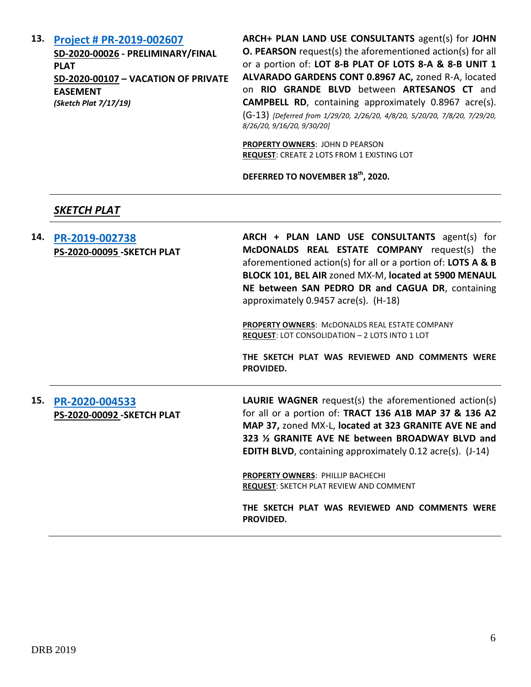#### **13. [Project # PR-2019-002607](http://data.cabq.gov/government/planning/DRB/PR-2019-002607/DRB%20Submittals/)**

**SD-2020-00026 - PRELIMINARY/FINAL PLAT SD-2020-00107 – VACATION OF PRIVATE EASEMENT** *(Sketch Plat 7/17/19)*

**ARCH+ PLAN LAND USE CONSULTANTS** agent(s) for **JOHN O. PEARSON** request(s) the aforementioned action(s) for all or a portion of: **LOT 8-B PLAT OF LOTS 8-A & 8-B UNIT 1 ALVARADO GARDENS CONT 0.8967 AC,** zoned R-A, located on **RIO GRANDE BLVD** between **ARTESANOS CT** and **CAMPBELL RD**, containing approximately 0.8967 acre(s). (G-13) *[Deferred from 1/29/20, 2/26/20, 4/8/20, 5/20/20, 7/8/20, 7/29/20, 8/26/20, 9/16/20, 9/30/20]*

**PROPERTY OWNERS**: JOHN D PEARSON **REQUEST**: CREATE 2 LOTS FROM 1 EXISTING LOT

**DEFERRED TO NOVEMBER 18th, 2020.**

## *SKETCH PLAT*

**14. [PR-2019-002738](http://data.cabq.gov/government/planning/DRB/PR-2019-002738/DRB%20Submittals/PR-2019-002738_Oct_14_2020/DRB%20SK%20Arch%20&%20Plan%20PR-2019-002738%20PS-2020-00095%20signed%20copy.pdf) PS-2020-00095 -SKETCH PLAT ARCH + PLAN LAND USE CONSULTANTS** agent(s) for **McDONALDS REAL ESTATE COMPANY** request(s) the aforementioned action(s) for all or a portion of: **LOTS A & B BLOCK 101, BEL AIR** zoned MX-M, **located at 5900 MENAUL NE between SAN PEDRO DR and CAGUA DR**, containing approximately 0.9457 acre(s). (H-18) **PROPERTY OWNERS**: McDONALDS REAL ESTATE COMPANY **REQUEST**: LOT CONSOLIDATION – 2 LOTS INTO 1 LOT **THE SKETCH PLAT WAS REVIEWED AND COMMENTS WERE PROVIDED. 15. [PR-2020-004533](http://data.cabq.gov/government/planning/DRB/PR-2020-004533/DRB%20Submittals/PR-2020-004533_Oct_14_2020/Application/DRB%20SK%20LAURIE%20WAGNER%20PR-2020-004533%20PS-2020-00092%20signed%20copy.pdf) PS-2020-00092 -SKETCH PLAT LAURIE WAGNER** request(s) the aforementioned action(s) for all or a portion of: **TRACT 136 A1B MAP 37 & 136 A2 MAP 37,** zoned MX-L, **located at 323 GRANITE AVE NE and 323 ½ GRANITE AVE NE between BROADWAY BLVD and EDITH BLVD**, containing approximately 0.12 acre(s). (J-14) **PROPERTY OWNERS**: PHILLIP BACHECHI **REQUEST**: SKETCH PLAT REVIEW AND COMMENT

> **THE SKETCH PLAT WAS REVIEWED AND COMMENTS WERE PROVIDED.**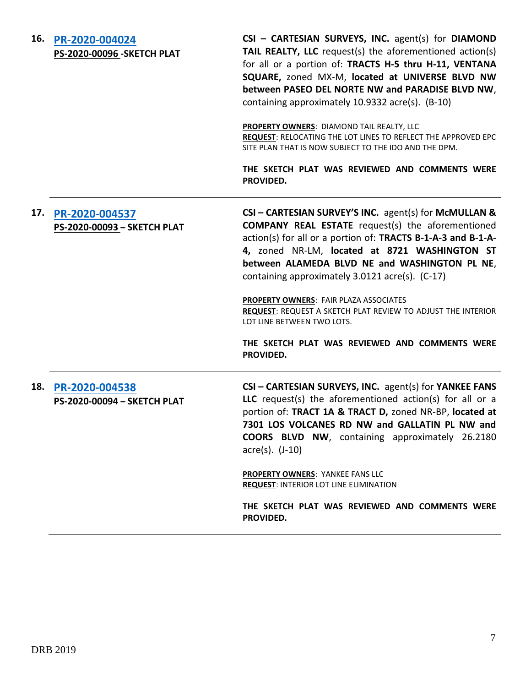| 16. | PR-2020-004024<br><b>PS-2020-00096 - SKETCH PLAT</b> | CSI - CARTESIAN SURVEYS, INC. agent(s) for DIAMOND<br>TAIL REALTY, LLC request(s) the aforementioned action(s)<br>for all or a portion of: TRACTS H-5 thru H-11, VENTANA<br>SQUARE, zoned MX-M, located at UNIVERSE BLVD NW<br>between PASEO DEL NORTE NW and PARADISE BLVD NW,<br>containing approximately 10.9332 acre(s). (B-10)<br>PROPERTY OWNERS: DIAMOND TAIL REALTY, LLC<br>REQUEST: RELOCATING THE LOT LINES TO REFLECT THE APPROVED EPC<br>SITE PLAN THAT IS NOW SUBJECT TO THE IDO AND THE DPM.<br>THE SKETCH PLAT WAS REVIEWED AND COMMENTS WERE |
|-----|------------------------------------------------------|--------------------------------------------------------------------------------------------------------------------------------------------------------------------------------------------------------------------------------------------------------------------------------------------------------------------------------------------------------------------------------------------------------------------------------------------------------------------------------------------------------------------------------------------------------------|
|     |                                                      | PROVIDED.                                                                                                                                                                                                                                                                                                                                                                                                                                                                                                                                                    |
| 17. | PR-2020-004537<br>PS-2020-00093 - SKETCH PLAT        | CSI - CARTESIAN SURVEY'S INC. agent(s) for McMULLAN &<br><b>COMPANY REAL ESTATE</b> request(s) the aforementioned<br>action(s) for all or a portion of: TRACTS B-1-A-3 and B-1-A-<br>4, zoned NR-LM, located at 8721 WASHINGTON ST<br>between ALAMEDA BLVD NE and WASHINGTON PL NE,<br>containing approximately 3.0121 acre(s). (C-17)<br>PROPERTY OWNERS: FAIR PLAZA ASSOCIATES<br><b>REQUEST: REQUEST A SKETCH PLAT REVIEW TO ADJUST THE INTERIOR</b><br>LOT LINE BETWEEN TWO LOTS.<br>THE SKETCH PLAT WAS REVIEWED AND COMMENTS WERE<br>PROVIDED.         |
| 18. | PR-2020-004538<br>PS-2020-00094 - SKETCH PLAT        | CSI - CARTESIAN SURVEYS, INC. agent(s) for YANKEE FANS<br>LLC request(s) the aforementioned action(s) for all or a<br>portion of: TRACT 1A & TRACT D, zoned NR-BP, located at<br>7301 LOS VOLCANES RD NW and GALLATIN PL NW and<br><b>COORS BLVD NW, containing approximately 26.2180</b><br>$\arccos(5)$ . $(J-10)$<br><b>PROPERTY OWNERS: YANKEE FANS LLC</b><br><b>REQUEST: INTERIOR LOT LINE ELIMINATION</b><br>THE SKETCH PLAT WAS REVIEWED AND COMMENTS WERE<br>PROVIDED.                                                                              |